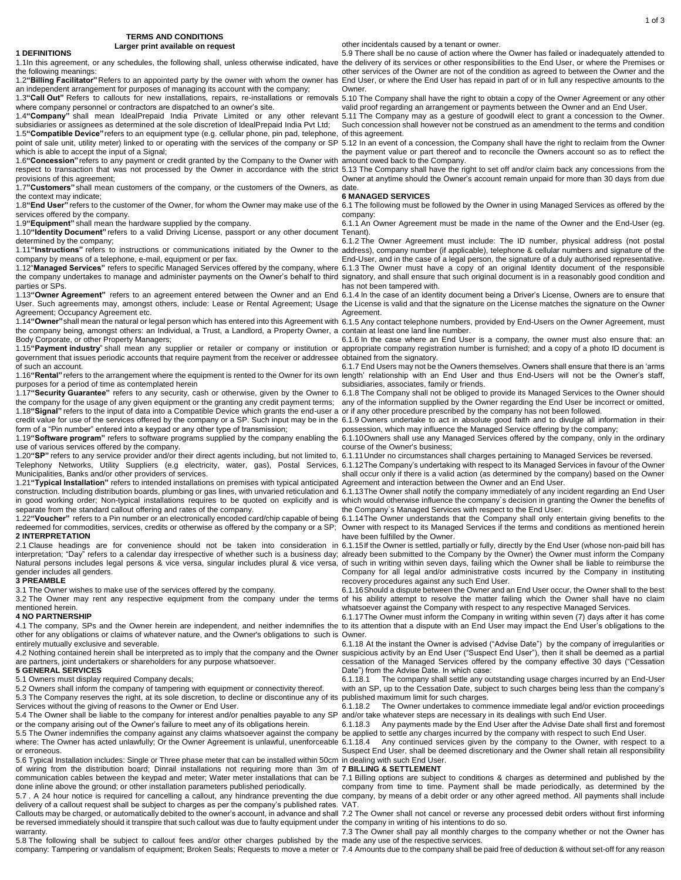**TERMS AND CONDITIONS Larger print available on request**

# other incidentals caused by a tenant or owner.

1.1In this agreement, or any schedules, the following shall, unless otherwise indicated, have the delivery of its services or other responsibilities to the End User, or where the Premises or 1.2**"Billing Facilitator"**Refers to an appointed party by the owner with whom the owner has End User, or where the End User has repaid in part of or in full any respective amounts to the 5.9 There shall be no cause of action where the Owner has failed or inadequately attended to other services of the Owner are not of the condition as agreed to between the Owner and the **Owner** 

valid proof regarding an arrangement or payments between the Owner and an End User.

Such concession shall however not be construed as an amendment to the terms and condition

the payment value or part thereof and to reconcile the Owners account so as to reflect the

Owner at anytime should the Owner's account remain unpaid for more than 30 days from due

# **6 MANAGED SERVICES**

company:

6.1.1 An Owner Agreement must be made in the name of the Owner and the End-User (eg.

6.1.2 The Owner Agreement must include: The ID number, physical address (not postal End-User, and in the case of a legal person, the signature of a duly authorised representative.

has not been tampered with.

Agreement.

6.1.6 In the case where an End User is a company, the owner must also ensure that: an

6.1.7 End Users may not be the Owners themselves. Owners shall ensure that there is an 'arms

6.1.8 The Company shall not be obliged to provide its Managed Services to the Owner should

possession, which may influence the Managed Service offering by the company;

course of the Owner's business;

shall occur only if there is a valid action (as determined by the company) based on the Owner

the Company`s Managed Services with respect to the End User.

1.22"Voucher" refers to a Pin number or an electronically encoded card/chip capable of being 6.1.14The Owner understands that the Company shall only entertain giving benefits to the Owner with respect to its Managed Services if the terms and conditions as mentioned herein have been fulfilled by the Owner.

2.1 Clause headings are for convenience should not be taken into consideration in 6.1.15lf the Owner is settled, partially or fully, directly by the End User (whose non-paid bill has interpretation; "Day" refers to a calendar day irrespective of whether such is a business day; already been submitted to the Company by the Owner) the Owner must inform the Company Natural persons includes legal persons & vice versa, singular includes plural & vice versa, of such in writing within seven days, failing which the Owner shall be liable to reimburse the Company for all legal and/or administrative costs incurred by the Company in instituting recovery procedures against any such End User.

3.2 The Owner may rent any respective equipment from the company under the terms of his ability attempt to resolve the matter failing which the Owner shall have no claim 6.1.16Should a dispute between the Owner and an End User occur, the Owner shall to the best whatsoever against the Company with respect to any respective Managed Services.

6.1.17The Owner must inform the Company in writing within seven (7) days after it has come

6.1.18 At the instant the Owner is advised ("Advise Date") by the company of irregularities or cessation of the Managed Services offered by the company effective 30 days ("Cessation Date") from the Advise Date. In which case:

6.1.18.1 The company shall settle any outstanding usage charges incurred by an End-User with an SP, up to the Cessation Date, subject to such charges being less than the company's

6.1.18.2 The Owner undertakes to commence immediate legal and/or eviction proceedings and/or take whatever steps are necessary in its dealings with such End User.<br>6.1.18.3 Any payments made by the End User after the Advise Date shall for

Any payments made by the End User after the Advise Date shall first and foremost

Suspect End User, shall be deemed discretionary and the Owner shall retain all responsibility

company from time to time. Payment shall be made periodically, as determined by the company, by means of a debit order or any other agreed method. All payments shall include

5.8 The following shall be subject to callout fees and/or other charges published by the made any use of the respective services. 7.3 The Owner shall pay all monthly charges to the company whether or not the Owner has

the following meanings:

an independent arrangement for purposes of managing its account with the company; 1.3"Call Out" Refers to callouts for new installations, repairs, re-installations or removals 5.10 The Company shall have the right to obtain a copy of the Owner Agreement or any other

where company personnel or contractors are dispatched to an owner's site. 1.4"Company" shall mean IdealPrepaid India Private Limited or any other relevant 5.11 The Company may as a gesture of goodwill elect to grant a concession to the Owner. subsidiaries or assignees as determined at the sole discretion of IdealPrepaid India Pvt Ltd; 1.5**"Compatible Device"**refers to an equipment type (e.g. cellular phone, pin pad, telephone, of this agreement.

point of sale unit, utility meter) linked to or operating with the services of the company or SP 5.12 In an event of a concession, the Company shall have the right to reclaim from the Owner which is able to accept the input of a Signal;

1.6**"Concession"**refers to any payment or credit granted by the Company to the Owner with amount owed back to the Company. respect to transaction that was not processed by the Owner in accordance with the strict 5.13 The Company shall have the right to set off and/or claim back any concessions from the provisions of this agreement;

1.7**"Customers"** shall mean customers of the company, or the customers of the Owners, as date. the context may indicate;

1.8"End User" refers to the customer of the Owner, for whom the Owner may make use of the 6.1 The following must be followed by the Owner in using Managed Services as offered by the services offered by the company.

1.9**"Equipment"** shall mean the hardware supplied by the company.

1.10**"Identity Document"** refers to a valid Driving License, passport or any other document Tenant). determined by the company;

1.11"Instructions" refers to instructions or communications initiated by the Owner to the address), company number (if applicable), telephone & cellular numbers and signature of the company by means of a telephone, e-mail, equipment or per fax.

1.12"**Managed Services**" refers to specific Managed Services offered by the company, where 6.1.3 The Owner must have a copy of an original Identity document of the responsible the company undertakes to manage and administer payments on the Owner's behalf to third signatory, and shall ensure that such original document is in a reasonably good condition and parties or SPs.

1.13"Owner Agreement" refers to an agreement entered between the Owner and an End 6.1.4 In the case of an identity document being a Driver's License, Owners are to ensure that User. Such agreements may, amongst others, include: Lease or Rental Agreement; Usage the License is valid and that the signature on the License matches the signature on the Owner Agreement; Occupancy Agreement etc.

1.14"Owner"shall mean the natural or legal person which has entered into this Agreement with 6.1.5 Any contact telephone numbers, provided by End-Users on the Owner Agreement, must the company being, amongst others: an Individual, a Trust, a Landlord, a Property Owner, a contain at least one land line number. Body Corporate, or other Property Managers;

1.15"Payment industry" shall mean any supplier or retailer or company or institution or appropriate company registration number is furnished; and a copy of a photo ID document is government that issues periodic accounts that require payment from the receiver or addressee obtained from the signatory. of such an account.

1.16"Rental"refers to the arrangement where the equipment is rented to the Owner for its own length' relationship with an End User and thus End-Users will not be the Owner's staff,

purposes for a period of time as contemplated herein<br>1.17**"Security Guarantee"** refers to any security, cash or otherwise, given by the Owner to 6.1.8 The Company shall not be obliged to the company for the usage of any given equipment or the granting any credit payment terms; any of the information supplied by the Owner regarding the End User be incorrect or omitted, 1.18**"Signal"** refers to the input of data into a Compatible Device which grants the end-user a or if any other procedure prescribed by the company has not been followed. credit value for use of the services offered by the company or a SP. Such input may be in the 6.1.9 Owners undertake to act in absolute good faith and to divulge all information in their form of a "Pin number" entered into a keypad or any other type of transmission;

1.19"Software program" refers to software programs supplied by the company enabling the 6.1.10Owners shall use any Managed Services offered by the company, only in the ordinary use of various services offered by the company.

1.20"SP" refers to any service provider and/or their direct agents including, but not limited to, 6.1.11 Under no circumstances shall charges pertaining to Managed Services be reversed. Telephony Networks, Utility Suppliers (e.g electricity, water, gas), Postal Services, 6.1.12The Company's undertaking with respect to its Managed Services in favour of the Owner Municipalities, Banks and/or other providers of services.

1.21**"Typical Installation"** refers to intended installations on premises with typical anticipated Agreement and interaction between the Owner and an End User. construction. Including distribution boards, plumbing or gas lines, with unvaried reticulation and 6.1.13The Owner shall notify the company immediately of any incident regarding an End User in good working order; Non-typical installations requires to be quoted on explicitly and is which would otherwise influence the company`s decision in granting the Owner the benefits of separate from the standard callout offering and rates of the company.

redeemed for commodities, services, credits or otherwise as offered by the company or a SP; **2 INTERPRETATION**

gender includes all genders. **3 PREAMBLE**

**1 DEFINITIONS**

3.1 The Owner wishes to make use of the services offered by the company.

mentioned herein.

## **4 NO PARTNERSHIP**

4.1 The company, SPs and the Owner herein are independent, and neither indemnifies the to its attention that a dispute with an End User may impact the End User's obligations to the other for any obligations or claims of whatever nature, and the Owner's obligations to such is Owner. entirely mutually exclusive and severable.

4.2 Nothing contained herein shall be interpreted as to imply that the company and the Owner suspicious activity by an End User ("Suspect End User"), then it shall be deemed as a partial are partners, joint undertakers or shareholders for any purpose whatsoever.

### **5 GENERAL SERVICES**

5.1 Owners must display required Company decals;

5.2 Owners shall inform the company of tampering with equipment or connectivity thereof.

5.3 The Company reserves the right, at its sole discretion, to decline or discontinue any of its published maximum limit for such charges. Services without the giving of reasons to the Owner or End User.

5.4 The Owner shall be liable to the company for interest and/or penalties payable to any SP or the company arising out of the Owner's failure to meet any of its obligations herein.

5.5 The Owner indemnifies the company against any claims whatsoever against the company be applied to settle any charges incurred by the company with respect to such End User. where: The Owner has acted unlawfully; Or the Owner Agreement is unlawful, unenforceable 6.1.18.4 Any continued services given by the company to the Owner, with respect to a or erroneous.

5.6 Typical Installation includes: Single or Three phase meter that can be installed within 50cm in dealing with such End User. of wiring from the distribution board; Dinrail installations not requiring more than 3m of **7 BILLING & SETTLEMENT**  communication cables between the keypad and meter; Water meter installations that can be 7.1 Billing options are subject to conditions & charges as determined and published by the done inline above the ground; or other installation parameters published periodically.

5.7 . A 24 hour notice is required for cancelling a callout, any hindrance preventing the due delivery of a callout request shall be subject to charges as per the company's published rates. VAT. Callouts may be charged, or automatically debited to the owner's account, in advance and shall 7.2 The Owner shall not cancel or reverse any processed debit orders without first informing be reversed immediately should it transpire that such callout was due to faulty equipment under the company in writing of his intentions to do so. warranty.

company: Tampering or vandalism of equipment; Broken Seals; Requests to move a meter or 7.4 Amounts due to the company shall be paid free of deduction & without set-off for any reason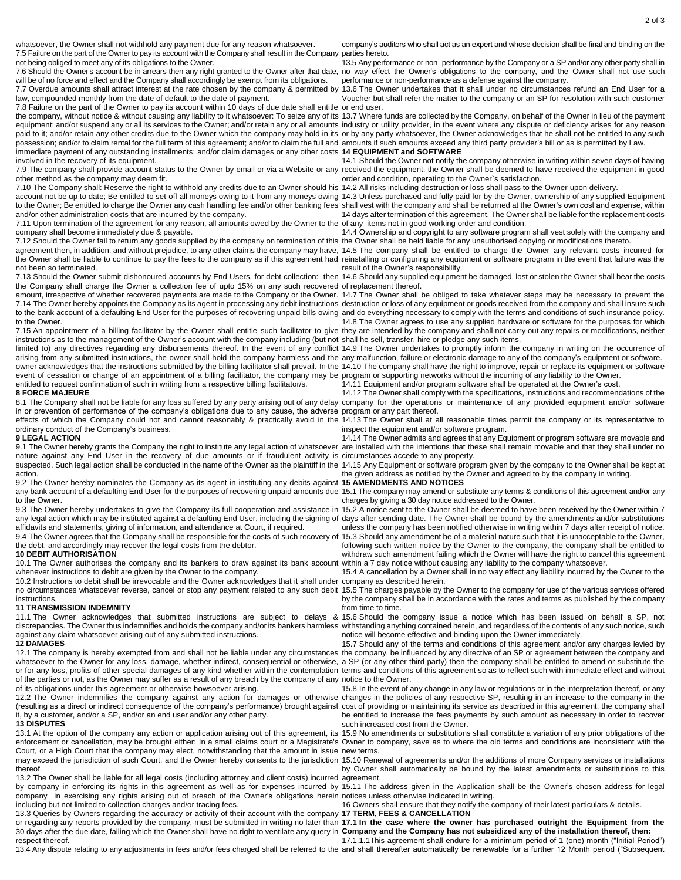whatsoever, the Owner shall not withhold any payment due for any reason whatsoever.

7.5 Failure on the part of the Owner to pay its account with the Company shall result in the Company parties hereto. not being obliged to meet any of its obligations to the Owner. 7.6 Should the Owner's account be in arrears then any right granted to the Owner after that date,

will be of no force and effect and the Company shall accordingly be exempt from its obligations. 7.7 Overdue amounts shall attract interest at the rate chosen by the company & permitted by

law, compounded monthly from the date of default to the date of payment. 7.8 Failure on the part of the Owner to pay its account within 10 days of due date shall entitle or end user.

the company, without notice & without causing any liability to it whatsoever: To seize any of its 13.7 Where funds are collected by the Company, on behalf of the Owner in lieu of the payment equipment; and/or suspend any or all its services to the Owner; and/or retain any or all amounts industry or utility provider, in the event where any dispute or deficiency arises for any reason paid to it; and/or retain any other credits due to the Owner which the company may hold in its or by any party whatsoever, the Owner acknowledges that he shall not be entitled to any such possession; and/or to claim rental for the full term of this agreement; and/or to claim the full and amounts if such amounts exceed any third party provider's bill or as is permitted by Law. immediate payment of any outstanding installments; and/or claim damages or any other costs **14 EQUIPMENT and SOFTWARE** involved in the recovery of its equipment.

7.9 The company shall provide account status to the Owner by email or via a Website or any received the equipment, the Owner shall be deemed to have received the equipment in good other method as the company may deem fit.

7.10 The Company shall: Reserve the right to withhold any credits due to an Owner should his 14.2 All risks including destruction or loss shall pass to the Owner upon delivery. account not be up to date; Be entitled to set-off all moneys owing to it from any moneys owing 14.3 Unless purchased and fully paid for by the Owner, ownership of any supplied Equipment to the Owner; Be entitled to charge the Owner any cash handling fee and/or other banking fees shall vest with the company and shall be returned at the Owner's own cost and expense, within and/or other administration costs that are incurred by the company.

7.11 Upon termination of the agreement for any reason, all amounts owed by the Owner to the of any items not in good working order and condition. company shall become immediately due & payable.

7.12 Should the Owner fail to return any goods supplied by the company on termination of this the Owner shall be held liable for any unauthorised copying or modifications thereto. agreement then, in addition, and without prejudice, to any other claims the company may have, 14.5 The company shall be entitled to charge the Owner any relevant costs incurred for the Owner shall be liable to continue to pay the fees to the company as if this agreement had reinstalling or configuring any equipment or software program in the event that failure was the not been so terminated.

7.13 Should the Owner submit dishonoured accounts by End Users, for debt collection:- then 14.6 Should any supplied equipment be damaged, lost or stolen the Owner shall bear the costs the Company shall charge the Owner a collection fee of upto 15% on any such recovered of replacement thereof. amount, irrespective of whether recovered payments are made to the Company or the Owner. 14.7 The Owner shall be obliged to take whatever steps may be necessary to prevent the 7.14 The Owner hereby appoints the Company as its agent in processing any debit instructions destruction or loss of any equipment or goods received from the company and shall insure such to the bank account of a defaulting End User for the purposes of recovering unpaid bills owing and do everything necessary to comply with the terms and conditions of such insurance policy. to the Owner

7.15 An appointment of a billing facilitator by the Owner shall entitle such facilitator to give they are intended by the company and shall not carry out any repairs or modifications, neither instructions as to the management of the Owner's account with the company including (but not shall he sell, transfer, hire or pledge any such items. limited to) any directives regarding any disbursements thereof. In the event of any conflict 14.9 The Owner undertakes to promptly inform the company in writing on the occurrence of arising from any submitted instructions, the owner shall hold the company harmless and the any malfunction, failure or electronic damage to any of the company's equipment or software. owner acknowledges that the instructions submitted by the billing facilitator shall prevail. In the 14.10 The company shall have the right to improve, repair or replace its equipment or software event of cessation or change of an appointment of a billing facilitator, the company may be program or supporting networks without the incurring of any liability to the Owner. entitled to request confirmation of such in writing from a respective billing facilitator/s.

## **8 FORCE MAJEURE**

in or prevention of performance of the company's obligations due to any cause, the adverse program or any part thereof. effects of which the Company could not and cannot reasonably & practically avoid in the 14.13 The Owner shall at all reasonable times permit the company or its representative to ordinary conduct of the Company's business.

# **9 LEGAL ACTION**

9.1 The Owner hereby grants the Company the right to institute any legal action of whatsoever are installed with the intentions that these shall remain movable and that they shall under no nature against any End User in the recovery of due amounts or if fraudulent activity is circumstances accede to any property. suspected. Such legal action shall be conducted in the name of the Owner as the plaintiff in the 14.15 Any Equipment or software program given by the company to the Owner shall be kept at action.

9.2 The Owner hereby nominates the Company as its agent in instituting any debits against **15 AMENDMENTS AND NOTICES** any bank account of a defaulting End User for the purposes of recovering unpaid amounts due 15.1 The company may amend or substitute any terms & conditions of this agreement and/or any to the Owner

9.3 The Owner hereby undertakes to give the Company its full cooperation and assistance in 15.2 A notice sent to the Owner shall be deemed to have been received by the Owner within 7 any legal action which may be instituted against a defaulting End User, including the signing of days after sending date. The Owner shall be bound by the amendments and/or substitutions affidavits and statements, giving of information, and attendance at Court, if required.

9.4 The Owner agrees that the Company shall be responsible for the costs of such recovery of the debt, and accordingly may recover the legal costs from the debtor.

# **10 DEBIT AUTHORISATION**

10.1 The Owner authorises the company and its bankers to draw against its bank account within a 7 day notice without causing any liability to the company whatsoever. whenever instructions to debit are given by the Owner to the company.

10.2 Instructions to debit shall be irrevocable and the Owner acknowledges that it shall under company as described herein. no circumstances whatsoever reverse, cancel or stop any payment related to any such debit 15.5 The charges payable by the Owner to the company for use of the various services offered instructions.

# **11 TRANSMISSION INDEMNITY**

against any claim whatsoever arising out of any submitted instructions.

# **12 DAMAGES**

12.1 The company is hereby exempted from and shall not be liable under any circumstances the company, be influenced by any directive of an SP or agreement between the company and whatsoever to the Owner for any loss, damage, whether indirect, consequential or otherwise, a SP (or any other third party) then the company shall be entitled to amend or substitute the or for any loss, profits of other special damages of any kind whether within the contemplation terms and conditions of this agreement so as to reflect such with immediate effect and without of the parties or not, as the Owner may suffer as a result of any breach by the company of any notice to the Owner. of its obligations under this agreement or otherwise howsoever arising.

12.2 The Owner indemnifies the company against any action for damages or otherwise changes in the policies of any respective SP, resulting in an increase to the company in the (resulting as a direct or indirect consequence of the company's performance) brought against cost of providing or maintaining its service as described in this agreement, the company shall it, by a customer, and/or a SP, and/or an end user and/or any other party.

# **13 DISPUTES**

Court, or a High Court that the company may elect, notwithstanding that the amount in issue new terms. may exceed the jurisdiction of such Court, and the Owner hereby consents to the jurisdiction 15.10 Renewal of agreements and/or the additions of more Company services or installations thereof.

13.2 The Owner shall be liable for all legal costs (including attorney and client costs) incurred agreement. by company in enforcing its rights in this agreement as well as for expenses incurred by 15.11 The address given in the Application shall be the Owner's chosen address for legal company in exercising any rights arising out of breach of the Owner's obligations herein notices unless otherwise indicated in writing. including but not limited to collection charges and/or tracing fees.

13.3 Queries by Owners regarding the accuracy or activity of their account with the company **17 TERM, FEES & CANCELLATION** or regarding any reports provided by the company, must be submitted in writing no later than 17.1 In the case where the owner has purchased outright the Equipment from the 30 days after the due date, failing which the Owner shall have no right to ventilate any query in Company and the Company has not subsidized any of the installation thereof, then: respect thereof.

company's auditors who shall act as an expert and whose decision shall be final and binding on the

13.5 Any performance or non- performance by the Company or a SP and/or any other party shall in no way effect the Owner's obligations to the company, and the Owner shall not use such performance or non-performance as a defense against the company.

13.6 The Owner undertakes that it shall under no circumstances refund an End User for a Voucher but shall refer the matter to the company or an SP for resolution with such customer

14.1 Should the Owner not notify the company otherwise in writing within seven days of having order and condition, operating to the Owner`s satisfaction.

14 days after termination of this agreement. The Owner shall be liable for the replacement costs

14.4 Ownership and copyright to any software program shall vest solely with the company and

result of the Owner's responsibility.

14.8 The Owner agrees to use any supplied hardware or software for the purposes for which

14.11 Equipment and/or program software shall be operated at the Owner's cost.

8.1 The Company shall not be liable for any loss suffered by any party arising out of any delay company for the operations or maintenance of any provided equipment and/or software 14.12 The Owner shall comply with the specifications, instructions and recommendations of the

inspect the equipment and/or software program.

14.14 The Owner admits and agrees that any Equipment or program software are movable and

the given address as notified by the Owner and agreed to by the company in writing.

charges by giving a 30 day notice addressed to the Owner.

unless the company has been notified otherwise in writing within 7 days after receipt of notice. 15.3 Should any amendment be of a material nature such that it is unacceptable to the Owner, following such written notice by the Owner to the company, the company shall be entitled to withdraw such amendment failing which the Owner will have the right to cancel this agreement

15.4 A cancellation by a Owner shall in no way effect any liability incurred by the Owner to the

by the company shall be in accordance with the rates and terms as published by the company from time to time.

11.1 The Owner acknowledges that submitted instructions are subject to delays & 15.6 Should the company issue a notice which has been issued on behalf a SP, not discrepancies. The Owner thus indemnifies and holds the company and/or its bankers harmless withstanding anything contained herein, and regardless of the contents of any such notice, such notice will become effective and binding upon the Owner immediately.

15.7 Should any of the terms and conditions of this agreement and/or any charges levied by

15.8 In the event of any change in any law or regulations or in the interpretation thereof, or any be entitled to increase the fees payments by such amount as necessary in order to recover such increased cost from the Owner.

13.1 At the option of the company any action or application arising out of this agreement, its 15.9 No amendments or substitutions shall constitute a variation of any prior obligations of the enforcement or cancellation, may be brought either: In a small claims court or a Magistrate's Owner to company, save as to where the old terms and conditions are inconsistent with the

by Owner shall automatically be bound by the latest amendments or substitutions to this

16 Owners shall ensure that they notify the company of their latest particulars & details.

17.1.1.1This agreement shall endure for a minimum period of 1 (one) month ("Initial Period")

13.4 Any dispute relating to any adjustments in fees and/or fees charged shall be referred to the and shall thereafter automatically be renewable for a further 12 Month period ("Subsequent